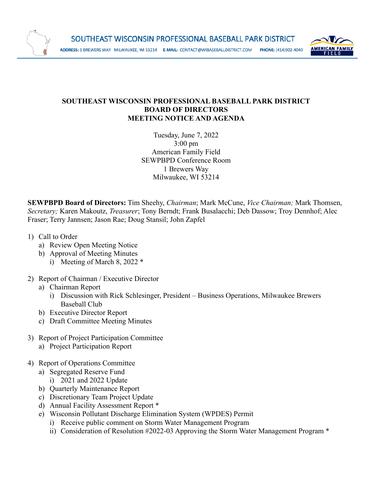

## **SOUTHEAST WISCONSIN PROFESSIONAL BASEBALL PARK DISTRICT BOARD OF DIRECTORS MEETING NOTICE AND AGENDA**

Tuesday, June 7, 2022 3:00 pm American Family Field SEWPBPD Conference Room 1 Brewers Way Milwaukee, WI 53214

**SEWPBPD Board of Directors:** Tim Sheehy, *Chairman*; Mark McCune, *Vice Chairman;* Mark Thomsen, *Secretary;* Karen Makoutz, *Treasurer*; Tony Berndt; Frank Busalacchi; Deb Dassow; Troy Dennhof; Alec Fraser; Terry Jannsen; Jason Rae; Doug Stansil; John Zapfel

- 1) Call to Order
	- a) Review Open Meeting Notice
	- b) Approval of Meeting Minutes
		- i) Meeting of March 8, 2022 \*
- 2) Report of Chairman / Executive Director
	- a) Chairman Report
		- i) Discussion with Rick Schlesinger, President Business Operations, Milwaukee Brewers Baseball Club
	- b) Executive Director Report
	- c) Draft Committee Meeting Minutes
- 3) Report of Project Participation Committee
	- a) Project Participation Report
- 4) Report of Operations Committee
	- a) Segregated Reserve Fund i) 2021 and 2022 Update
	- b) Quarterly Maintenance Report
	- c) Discretionary Team Project Update
	- d) Annual Facility Assessment Report \*
	- e) Wisconsin Pollutant Discharge Elimination System (WPDES) Permit
		- i) Receive public comment on Storm Water Management Program
		- ii) Consideration of Resolution #2022-03 Approving the Storm Water Management Program \*